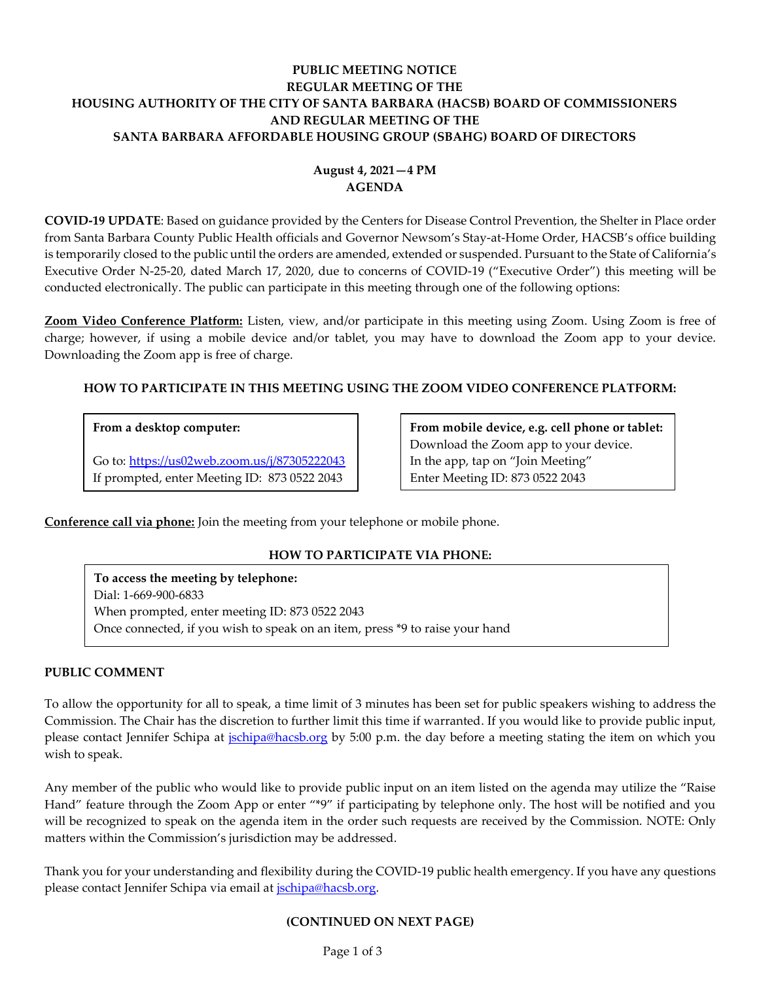## **PUBLIC MEETING NOTICE REGULAR MEETING OF THE HOUSING AUTHORITY OF THE CITY OF SANTA BARBARA (HACSB) BOARD OF COMMISSIONERS AND REGULAR MEETING OF THE SANTA BARBARA AFFORDABLE HOUSING GROUP (SBAHG) BOARD OF DIRECTORS**

# **August 4, 2021—4 PM AGENDA**

**COVID-19 UPDATE**: Based on guidance provided by the Centers for Disease Control Prevention, the Shelter in Place order from Santa Barbara County Public Health officials and Governor Newsom's Stay-at-Home Order, HACSB's office building is temporarily closed to the public until the orders are amended, extended or suspended. Pursuant to the State of California's Executive Order N-25-20, dated March 17, 2020, due to concerns of COVID-19 ("Executive Order") this meeting will be conducted electronically. The public can participate in this meeting through one of the following options:

**Zoom Video Conference Platform:** Listen, view, and/or participate in this meeting using Zoom. Using Zoom is free of charge; however, if using a mobile device and/or tablet, you may have to download the Zoom app to your device. Downloading the Zoom app is free of charge.

## **HOW TO PARTICIPATE IN THIS MEETING USING THE ZOOM VIDEO CONFERENCE PLATFORM:**

### **From a desktop computer:**

Go to:<https://us02web.zoom.us/j/87305222043> If prompted, enter Meeting ID: 873 0522 2043

**From mobile device, e.g. cell phone or tablet:** Download the Zoom app to your device. In the app, tap on "Join Meeting" Enter Meeting ID: 873 0522 2043

**Conference call via phone:** Join the meeting from your telephone or mobile phone.

## **HOW TO PARTICIPATE VIA PHONE:**

**To access the meeting by telephone:** Dial: 1-669-900-6833 When prompted, enter meeting ID: 873 0522 2043 Once connected, if you wish to speak on an item, press \*9 to raise your hand

### **PUBLIC COMMENT**

To allow the opportunity for all to speak, a time limit of 3 minutes has been set for public speakers wishing to address the Commission. The Chair has the discretion to further limit this time if warranted. If you would like to provide public input, please contact Jennifer Schipa at *jschipa@hacsb.org* by 5:00 p.m. the day before a meeting stating the item on which you wish to speak.

Any member of the public who would like to provide public input on an item listed on the agenda may utilize the "Raise Hand" feature through the Zoom App or enter "\*9" if participating by telephone only. The host will be notified and you will be recognized to speak on the agenda item in the order such requests are received by the Commission. NOTE: Only matters within the Commission's jurisdiction may be addressed.

Thank you for your understanding and flexibility during the COVID-19 public health emergency. If you have any questions please contact Jennifer Schipa via email at [jschipa@hacsb.org.](mailto:jschipa@hacsb.org)

### **(CONTINUED ON NEXT PAGE)**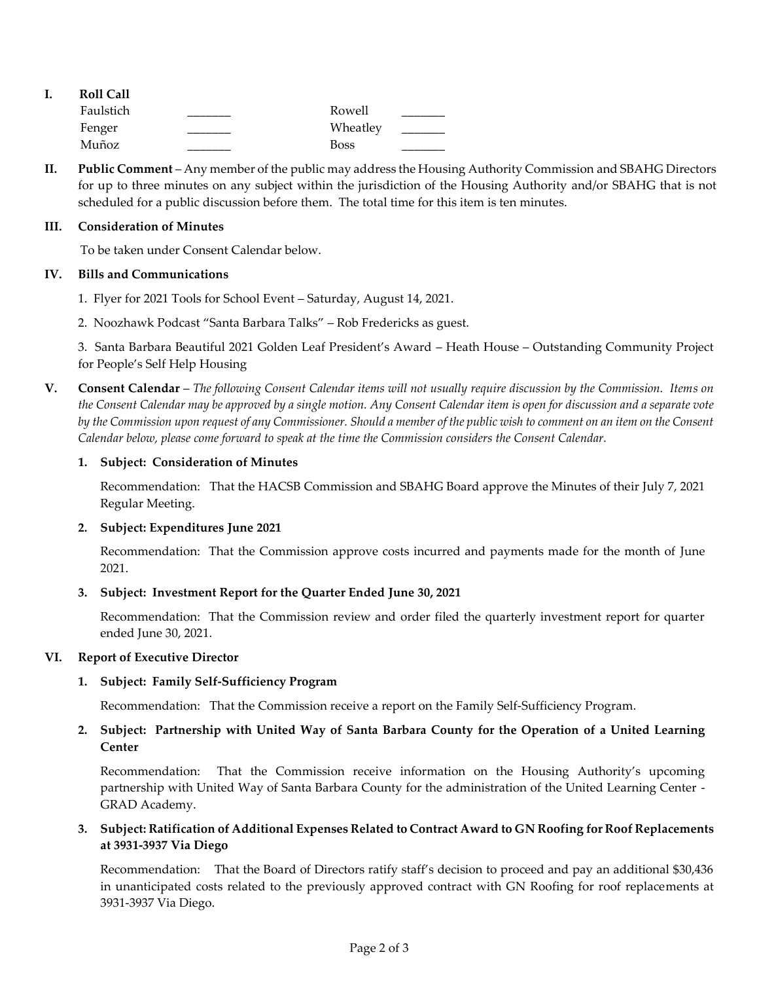|  | <b>Roll Call</b> |             |  |
|--|------------------|-------------|--|
|  | Faulstich        | Rowell      |  |
|  | Fenger           | Wheatley    |  |
|  | Muñoz            | <b>Boss</b> |  |

**II. Public Comment** – Any member of the public may address the Housing Authority Commission and SBAHG Directors for up to three minutes on any subject within the jurisdiction of the Housing Authority and/or SBAHG that is not scheduled for a public discussion before them. The total time for this item is ten minutes.

#### **III. Consideration of Minutes**

To be taken under Consent Calendar below.

### **IV. Bills and Communications**

- 1. [Flyer for 2021 Tools for School Event](https://hacsb.org/download/meetings_2021/items/august/Item-IV.1_Tools-For-School-Flyer-2021.pdf) Saturday, August 14, 2021.
- 2. Noozhawk Podcast "Santa Barbara Talks" [Rob Fredericks as guest.](https://www.noozhawk.com/article/santa_barbara_talks_podcast_rob_fredericks)

3. [Santa Barbara Beautiful 2021 Golden Leaf President's Award –](https://hacsb.org/download/meetings_2021/items/august/Ittem-IV.3_Santa-Barbara-Beautiful-Award.pdf) Heath House – Outstanding Community Project for People's Self Help Housing

**V. Consent Calendar** – *The following Consent Calendar items will not usually require discussion by the Commission. Items on the Consent Calendar may be approved by a single motion. Any Consent Calendar item is open for discussion and a separate vote by the Commission upon request of any Commissioner. Should a member of the public wish to comment on an item on the Consent Calendar below, please come forward to speak at the time the Commission considers the Consent Calendar.*

### **1. Subject: Consideration of Minutes**

Recommendation: That the HACSB Commission [and SBAHG Board approve the Minutes of their July](https://hacsb.org/download/meetings_2021/items/august/Item-V.1_MINUTES-07-07-2021.pdf) 7, 2021 Regular Meeting.

### **2. Subject: Expenditures June 2021**

[Recommendation: That the Commission approve costs incurred and payments made for the month of June](https://hacsb.org/download/meetings_2021/items/august/Item-V.2_Expenditure-Report-June-2021.pdf) 2021.

### **3. Subject: Investment Report for the Quarter Ended June 30, 2021**

Recommendation: That the Commission [review and order filed the quarterly investment report for quarter](https://hacsb.org/download/meetings_2021/items/august/Item-V.3_Investment-Report-2021-06-30.pdf)  ended June 30, 2021.

### **VI. Report of Executive Director**

### **1. Subject: Family Self-Sufficiency Program**

[Recommendation: That the Commission receive a report on the Family Self-Sufficiency Program.](https://hacsb.org/download/meetings_2021/items/august/Item-VI.1_Family-Self-Sufficiency-Program.pdf)

## **2. Subject: Partnership with United Way of Santa Barbara County for the Operation of a United Learning Center**

Recommendation: That the Commission receive information on the Housing Authority's upcoming [partnership with United Way of Santa Barbara County for the administration of the United Learning Center -](https://hacsb.org/download/meetings_2021/items/august/Item-VI.2_United-Way-Partnership.pdf) GRAD Academy.

### **3. Subject: Ratification of Additional Expenses Related to Contract Award to GN Roofing for Roof Replacements at 3931-3937 Via Diego**

Recommendation: That the Board of Directors ratify staff's decision to proceed and pay an additional \$30,436 [in unanticipated costs related to the previously approved contract with GN Roofing for roof replacements at](https://hacsb.org/download/meetings_2021/items/august/Item-VI.3_Via-Diego-Roof-Replacement-Ratification.pdf)  3931-3937 Via Diego.